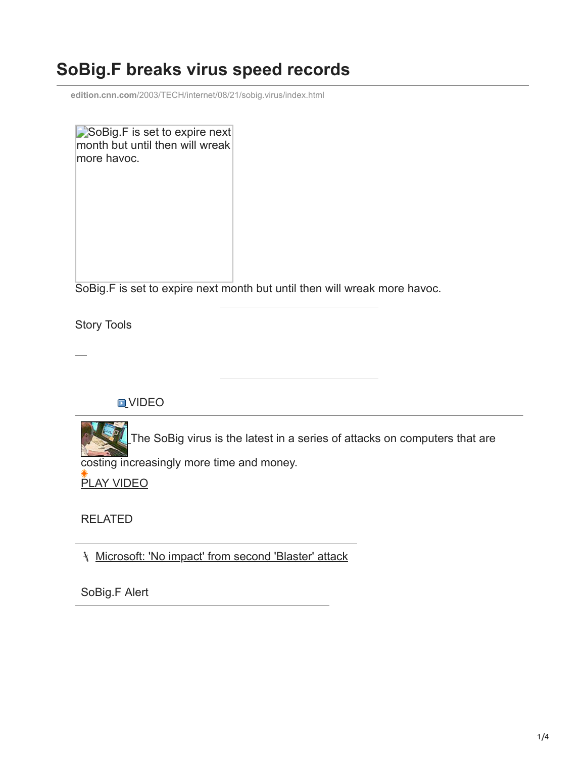## **SoBig.F breaks virus speed records**

**edition.cnn.com**[/2003/TECH/internet/08/21/sobig.virus/index.html](http://edition.cnn.com/2003/TECH/internet/08/21/sobig.virus/index.html)

|             | SoBig F is set to expire next   |  |
|-------------|---------------------------------|--|
|             | month but until then will wreak |  |
| more havoc. |                                 |  |
|             |                                 |  |

SoBig.F is set to expire next month but until then will wreak more havoc.

Story Tools

**D**VIDEO

The SoBig virus is the latest in a series of attacks on computers that are costing increasingly more time and money.

PLAY VIDEO

RELATED

[Microsoft: 'No impact' from second 'Blaster' attack](http://edition.cnn.com/2003/TECH/internet/08/16/microsoft.blaster.ap/index.html)

SoBig.F Alert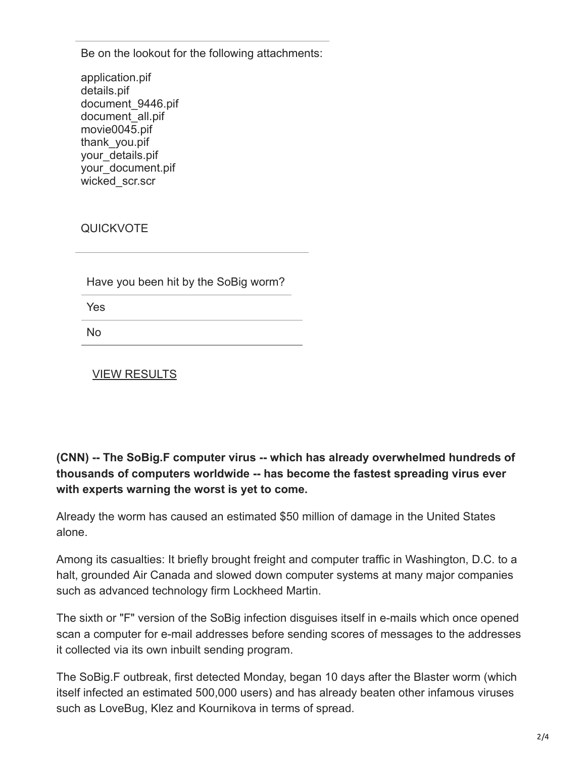Be on the lookout for the following attachments:

application.pif details.pif document\_9446.pif document\_all.pif movie0045.pif thank\_you.pif your\_details.pif your\_document.pif wicked\_scr.scr

QUICKVOTE

Have you been hit by the SoBig worm?

Yes

No

VIEW RESULTS

**(CNN) -- The SoBig.F computer virus -- which has already overwhelmed hundreds of thousands of computers worldwide -- has become the fastest spreading virus ever with experts warning the worst is yet to come.**

Already the worm has caused an estimated \$50 million of damage in the United States alone.

Among its casualties: It briefly brought freight and computer traffic in Washington, D.C. to a halt, grounded Air Canada and slowed down computer systems at many major companies such as advanced technology firm Lockheed Martin.

The sixth or "F" version of the SoBig infection disguises itself in e-mails which once opened scan a computer for e-mail addresses before sending scores of messages to the addresses it collected via its own inbuilt sending program.

The SoBig.F outbreak, first detected Monday, began 10 days after the Blaster worm (which itself infected an estimated 500,000 users) and has already beaten other infamous viruses such as LoveBug, Klez and Kournikova in terms of spread.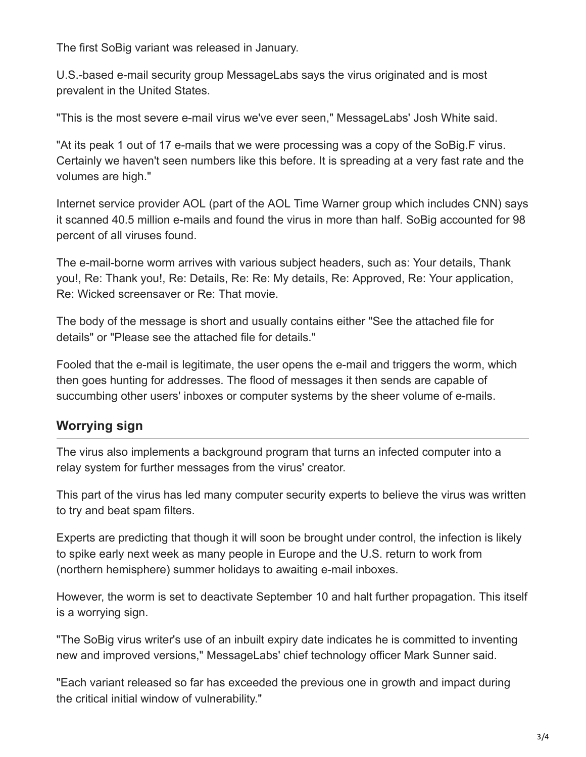The first SoBig variant was released in January.

U.S.-based e-mail security group MessageLabs says the virus originated and is most prevalent in the United States.

"This is the most severe e-mail virus we've ever seen," MessageLabs' Josh White said.

"At its peak 1 out of 17 e-mails that we were processing was a copy of the SoBig.F virus. Certainly we haven't seen numbers like this before. It is spreading at a very fast rate and the volumes are high."

Internet service provider AOL (part of the AOL Time Warner group which includes CNN) says it scanned 40.5 million e-mails and found the virus in more than half. SoBig accounted for 98 percent of all viruses found.

The e-mail-borne worm arrives with various subject headers, such as: Your details, Thank you!, Re: Thank you!, Re: Details, Re: Re: My details, Re: Approved, Re: Your application, Re: Wicked screensaver or Re: That movie.

The body of the message is short and usually contains either "See the attached file for details" or "Please see the attached file for details."

Fooled that the e-mail is legitimate, the user opens the e-mail and triggers the worm, which then goes hunting for addresses. The flood of messages it then sends are capable of succumbing other users' inboxes or computer systems by the sheer volume of e-mails.

## **Worrying sign**

The virus also implements a background program that turns an infected computer into a relay system for further messages from the virus' creator.

This part of the virus has led many computer security experts to believe the virus was written to try and beat spam filters.

Experts are predicting that though it will soon be brought under control, the infection is likely to spike early next week as many people in Europe and the U.S. return to work from (northern hemisphere) summer holidays to awaiting e-mail inboxes.

However, the worm is set to deactivate September 10 and halt further propagation. This itself is a worrying sign.

"The SoBig virus writer's use of an inbuilt expiry date indicates he is committed to inventing new and improved versions," MessageLabs' chief technology officer Mark Sunner said.

"Each variant released so far has exceeded the previous one in growth and impact during the critical initial window of vulnerability."